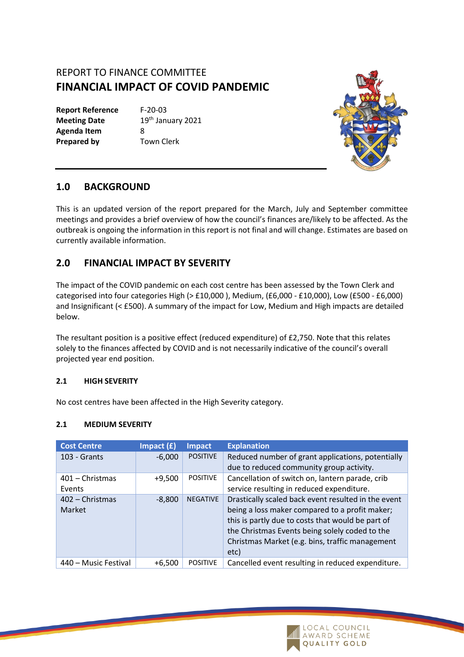# REPORT TO FINANCE COMMITTEE **FINANCIAL IMPACT OF COVID PANDEMIC**

**Report Reference** F-20-03 **Agenda Item** 8 **Prepared by** Town Clerk

**Meeting Date** 19th January 2021



### **1.0 BACKGROUND**

This is an updated version of the report prepared for the March, July and September committee meetings and provides a brief overview of how the council's finances are/likely to be affected. As the outbreak is ongoing the information in this report is not final and will change. Estimates are based on currently available information.

## **2.0 FINANCIAL IMPACT BY SEVERITY**

The impact of the COVID pandemic on each cost centre has been assessed by the Town Clerk and categorised into four categories High (> £10,000 ), Medium, (£6,000 - £10,000), Low (£500 - £6,000) and Insignificant (< £500). A summary of the impact for Low, Medium and High impacts are detailed below.

The resultant position is a positive effect (reduced expenditure) of £2,750. Note that this relates solely to the finances affected by COVID and is not necessarily indicative of the council's overall projected year end position.

#### **2.1 HIGH SEVERITY**

No cost centres have been affected in the High Severity category.

#### **2.1 MEDIUM SEVERITY**

| <b>Cost Centre</b>   | Impact $(f)$ | <b>Impact</b>   | <b>Explanation</b>                                  |
|----------------------|--------------|-----------------|-----------------------------------------------------|
| $103 -$ Grants       | $-6,000$     | <b>POSITIVE</b> | Reduced number of grant applications, potentially   |
|                      |              |                 | due to reduced community group activity.            |
| $401 -$ Christmas    | $+9,500$     | <b>POSITIVE</b> | Cancellation of switch on, lantern parade, crib     |
| Events               |              |                 | service resulting in reduced expenditure.           |
| $402$ – Christmas    | $-8,800$     | <b>NEGATIVE</b> | Drastically scaled back event resulted in the event |
| Market               |              |                 | being a loss maker compared to a profit maker;      |
|                      |              |                 | this is partly due to costs that would be part of   |
|                      |              |                 | the Christmas Events being solely coded to the      |
|                      |              |                 | Christmas Market (e.g. bins, traffic management     |
|                      |              |                 | etc)                                                |
| 440 – Music Festival | $+6.500$     | <b>POSITIVE</b> | Cancelled event resulting in reduced expenditure.   |